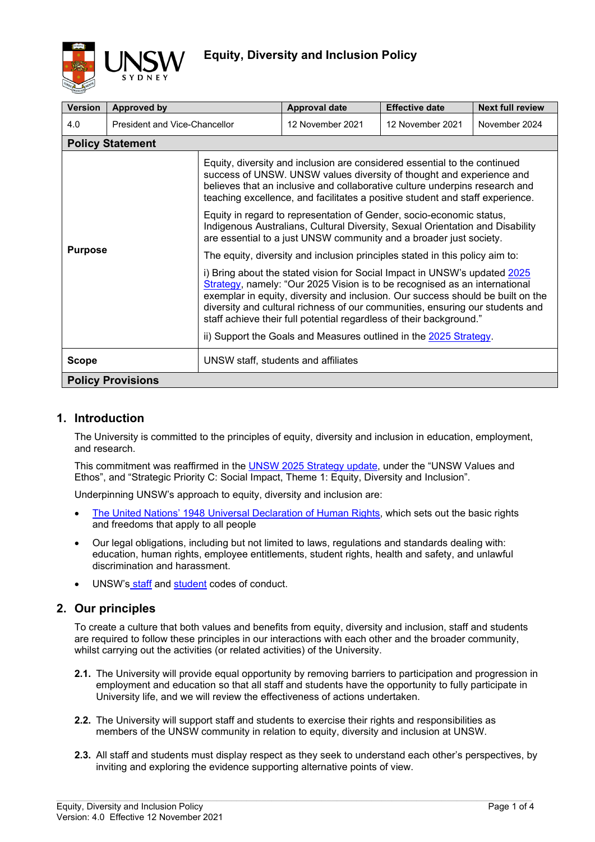

| <b>Version</b>           | <b>Approved by</b>            |                                                                                                                                                                                                                                                                                                                                                                                                    | <b>Approval date</b>                                              | <b>Effective date</b> | <b>Next full review</b> |  |
|--------------------------|-------------------------------|----------------------------------------------------------------------------------------------------------------------------------------------------------------------------------------------------------------------------------------------------------------------------------------------------------------------------------------------------------------------------------------------------|-------------------------------------------------------------------|-----------------------|-------------------------|--|
| 4.0                      | President and Vice-Chancellor |                                                                                                                                                                                                                                                                                                                                                                                                    | 12 November 2021                                                  | 12 November 2021      | November 2024           |  |
|                          | <b>Policy Statement</b>       |                                                                                                                                                                                                                                                                                                                                                                                                    |                                                                   |                       |                         |  |
| <b>Purpose</b>           |                               | Equity, diversity and inclusion are considered essential to the continued<br>success of UNSW. UNSW values diversity of thought and experience and<br>believes that an inclusive and collaborative culture underpins research and<br>teaching excellence, and facilitates a positive student and staff experience.                                                                                  |                                                                   |                       |                         |  |
|                          |                               | Equity in regard to representation of Gender, socio-economic status,<br>Indigenous Australians, Cultural Diversity, Sexual Orientation and Disability<br>are essential to a just UNSW community and a broader just society.                                                                                                                                                                        |                                                                   |                       |                         |  |
|                          |                               | The equity, diversity and inclusion principles stated in this policy aim to:                                                                                                                                                                                                                                                                                                                       |                                                                   |                       |                         |  |
|                          |                               | i) Bring about the stated vision for Social Impact in UNSW's updated 2025<br>Strategy, namely: "Our 2025 Vision is to be recognised as an international<br>exemplar in equity, diversity and inclusion. Our success should be built on the<br>diversity and cultural richness of our communities, ensuring our students and<br>staff achieve their full potential regardless of their background." |                                                                   |                       |                         |  |
|                          |                               |                                                                                                                                                                                                                                                                                                                                                                                                    | ii) Support the Goals and Measures outlined in the 2025 Strategy. |                       |                         |  |
| <b>Scope</b>             |                               | UNSW staff, students and affiliates                                                                                                                                                                                                                                                                                                                                                                |                                                                   |                       |                         |  |
| <b>Policy Provisions</b> |                               |                                                                                                                                                                                                                                                                                                                                                                                                    |                                                                   |                       |                         |  |

## **1. Introduction**

The University is committed to the principles of equity, diversity and inclusion in education, employment, and research.

This commitment was reaffirmed in the [UNSW 2025 Strategy](https://www.2025.unsw.edu.au/sites/default/files/2025-Strategy-Update-UNSW.pdf) update, under the "UNSW Values and Ethos", and "Strategic Priority C: Social Impact, Theme 1: Equity, Diversity and Inclusion".

Underpinning UNSW's approach to equity, diversity and inclusion are:

- [The United Nations' 1948 Universal Declaration of Human Rights,](https://www.un.org/en/about-us/universal-declaration-of-human-rights) which sets out the basic rights and freedoms that apply to all people
- Our legal obligations, including but not limited to laws, regulations and standards dealing with: education, human rights, employee entitlements, student rights, health and safety, and unlawful discrimination and harassment.
- UNSW's [staff](https://www.gs.unsw.edu.au/policy/codeofconduct.html) and [student](https://www.gs.unsw.edu.au/policy/studentcodepolicy.html) codes of conduct.

## **2. Our principles**

To create a culture that both values and benefits from equity, diversity and inclusion, staff and students are required to follow these principles in our interactions with each other and the broader community, whilst carrying out the activities (or related activities) of the University.

- **2.1.** The University will provide equal opportunity by removing barriers to participation and progression in employment and education so that all staff and students have the opportunity to fully participate in University life, and we will review the effectiveness of actions undertaken.
- **2.2.** The University will support staff and students to exercise their rights and responsibilities as members of the UNSW community in relation to equity, diversity and inclusion at UNSW.
- **2.3.** All staff and students must display respect as they seek to understand each other's perspectives, by inviting and exploring the evidence supporting alternative points of view.

 $\_$  , and the state of the state of the state of the state of the state of the state of the state of the state of the state of the state of the state of the state of the state of the state of the state of the state of the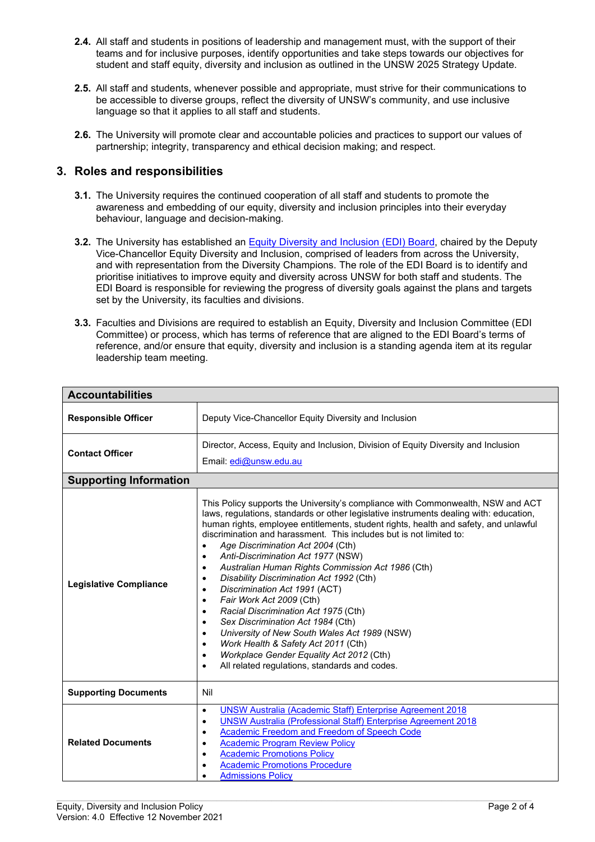- **2.4.** All staff and students in positions of leadership and management must, with the support of their teams and for inclusive purposes, identify opportunities and take steps towards our objectives for student and staff equity, diversity and inclusion as outlined in the UNSW 2025 Strategy Update.
- **2.5.** All staff and students, whenever possible and appropriate, must strive for their communications to be accessible to diverse groups, reflect the diversity of UNSW's community, and use inclusive language so that it applies to all staff and students.
- **2.6.** The University will promote clear and accountable policies and practices to support our values of partnership; integrity, transparency and ethical decision making; and respect.

## **3. Roles and responsibilities**

- **3.1.** The University requires the continued cooperation of all staff and students to promote the awareness and embedding of our equity, diversity and inclusion principles into their everyday behaviour, language and decision-making.
- **3.2.** The University has established an **Equity Diversity and Inclusion (EDI) Board**, chaired by the Deputy Vice-Chancellor Equity Diversity and Inclusion, comprised of leaders from across the University, and with representation from the Diversity Champions. The role of the EDI Board is to identify and prioritise initiatives to improve equity and diversity across UNSW for both staff and students. The EDI Board is responsible for reviewing the progress of diversity goals against the plans and targets set by the University, its faculties and divisions.
- **3.3.** Faculties and Divisions are required to establish an Equity, Diversity and Inclusion Committee (EDI Committee) or process, which has terms of reference that are aligned to the EDI Board's terms of reference, and/or ensure that equity, diversity and inclusion is a standing agenda item at its regular leadership team meeting.

| <b>Accountabilities</b>       |                                                                                                                                                                                                                                                                                                                                                                                                                                                                                                                                                                                                                                                                                                                                                                                                                                                                                                                                                                                                                |  |  |  |  |
|-------------------------------|----------------------------------------------------------------------------------------------------------------------------------------------------------------------------------------------------------------------------------------------------------------------------------------------------------------------------------------------------------------------------------------------------------------------------------------------------------------------------------------------------------------------------------------------------------------------------------------------------------------------------------------------------------------------------------------------------------------------------------------------------------------------------------------------------------------------------------------------------------------------------------------------------------------------------------------------------------------------------------------------------------------|--|--|--|--|
| <b>Responsible Officer</b>    | Deputy Vice-Chancellor Equity Diversity and Inclusion                                                                                                                                                                                                                                                                                                                                                                                                                                                                                                                                                                                                                                                                                                                                                                                                                                                                                                                                                          |  |  |  |  |
| <b>Contact Officer</b>        | Director, Access, Equity and Inclusion, Division of Equity Diversity and Inclusion<br>Email: edi@unsw.edu.au                                                                                                                                                                                                                                                                                                                                                                                                                                                                                                                                                                                                                                                                                                                                                                                                                                                                                                   |  |  |  |  |
| <b>Supporting Information</b> |                                                                                                                                                                                                                                                                                                                                                                                                                                                                                                                                                                                                                                                                                                                                                                                                                                                                                                                                                                                                                |  |  |  |  |
| <b>Legislative Compliance</b> | This Policy supports the University's compliance with Commonwealth, NSW and ACT<br>laws, regulations, standards or other legislative instruments dealing with: education,<br>human rights, employee entitlements, student rights, health and safety, and unlawful<br>discrimination and harassment. This includes but is not limited to:<br>Age Discrimination Act 2004 (Cth)<br>$\bullet$<br>Anti-Discrimination Act 1977 (NSW)<br>$\bullet$<br>Australian Human Rights Commission Act 1986 (Cth)<br>$\bullet$<br>Disability Discrimination Act 1992 (Cth)<br>$\bullet$<br>Discrimination Act 1991 (ACT)<br>$\bullet$<br>Fair Work Act 2009 (Cth)<br>$\bullet$<br>Racial Discrimination Act 1975 (Cth)<br>$\bullet$<br>Sex Discrimination Act 1984 (Cth)<br>$\bullet$<br>University of New South Wales Act 1989 (NSW)<br>$\bullet$<br>Work Health & Safety Act 2011 (Cth)<br>$\bullet$<br>Workplace Gender Equality Act 2012 (Cth)<br>$\bullet$<br>All related regulations, standards and codes.<br>$\bullet$ |  |  |  |  |
| <b>Supporting Documents</b>   | Nil                                                                                                                                                                                                                                                                                                                                                                                                                                                                                                                                                                                                                                                                                                                                                                                                                                                                                                                                                                                                            |  |  |  |  |
| <b>Related Documents</b>      | <b>UNSW Australia (Academic Staff) Enterprise Agreement 2018</b><br>$\bullet$<br><b>UNSW Australia (Professional Staff) Enterprise Agreement 2018</b><br>$\bullet$<br>Academic Freedom and Freedom of Speech Code<br>$\bullet$<br><b>Academic Program Review Policy</b><br><b>Academic Promotions Policy</b><br>$\bullet$<br><b>Academic Promotions Procedure</b><br><b>Admissions Policy</b>                                                                                                                                                                                                                                                                                                                                                                                                                                                                                                                                                                                                                  |  |  |  |  |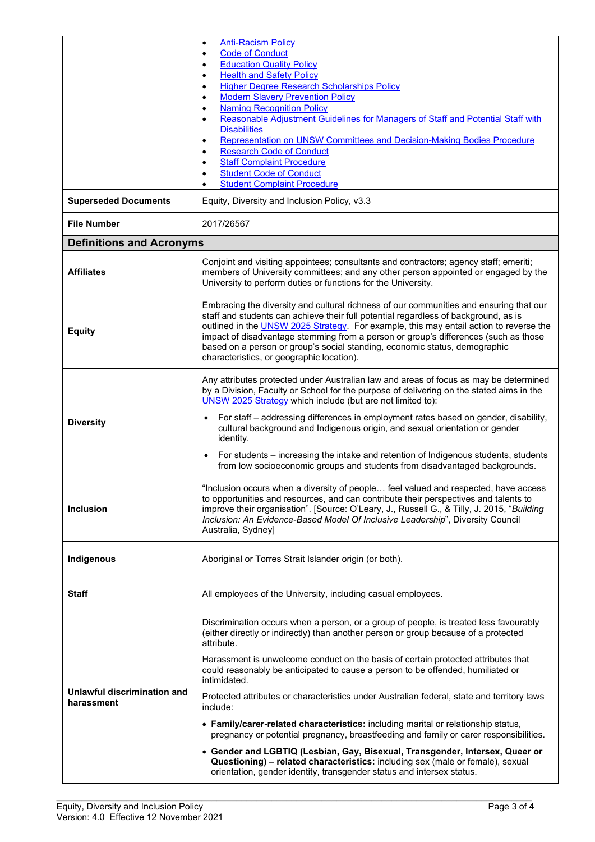|                                           | <b>Anti-Racism Policy</b><br>$\bullet$<br><b>Code of Conduct</b><br>$\bullet$                                                                                                                                                                                                                                                                                                                                                                                                             |  |  |  |  |
|-------------------------------------------|-------------------------------------------------------------------------------------------------------------------------------------------------------------------------------------------------------------------------------------------------------------------------------------------------------------------------------------------------------------------------------------------------------------------------------------------------------------------------------------------|--|--|--|--|
|                                           | <b>Education Quality Policy</b><br>$\bullet$                                                                                                                                                                                                                                                                                                                                                                                                                                              |  |  |  |  |
|                                           | <b>Health and Safety Policy</b><br>$\bullet$                                                                                                                                                                                                                                                                                                                                                                                                                                              |  |  |  |  |
|                                           | <b>Higher Degree Research Scholarships Policy</b><br>٠<br><b>Modern Slavery Prevention Policy</b><br>$\bullet$                                                                                                                                                                                                                                                                                                                                                                            |  |  |  |  |
|                                           | <b>Naming Recognition Policy</b><br>$\bullet$                                                                                                                                                                                                                                                                                                                                                                                                                                             |  |  |  |  |
|                                           | Reasonable Adjustment Guidelines for Managers of Staff and Potential Staff with<br>$\bullet$<br><b>Disabilities</b>                                                                                                                                                                                                                                                                                                                                                                       |  |  |  |  |
|                                           | Representation on UNSW Committees and Decision-Making Bodies Procedure<br>$\bullet$                                                                                                                                                                                                                                                                                                                                                                                                       |  |  |  |  |
|                                           | <b>Research Code of Conduct</b><br>$\bullet$<br><b>Staff Complaint Procedure</b>                                                                                                                                                                                                                                                                                                                                                                                                          |  |  |  |  |
|                                           | $\bullet$<br><b>Student Code of Conduct</b><br>$\bullet$                                                                                                                                                                                                                                                                                                                                                                                                                                  |  |  |  |  |
|                                           | <b>Student Complaint Procedure</b><br>$\bullet$                                                                                                                                                                                                                                                                                                                                                                                                                                           |  |  |  |  |
| <b>Superseded Documents</b>               | Equity, Diversity and Inclusion Policy, v3.3                                                                                                                                                                                                                                                                                                                                                                                                                                              |  |  |  |  |
| <b>File Number</b>                        | 2017/26567                                                                                                                                                                                                                                                                                                                                                                                                                                                                                |  |  |  |  |
| <b>Definitions and Acronyms</b>           |                                                                                                                                                                                                                                                                                                                                                                                                                                                                                           |  |  |  |  |
| <b>Affiliates</b>                         | Conjoint and visiting appointees; consultants and contractors; agency staff; emeriti;<br>members of University committees; and any other person appointed or engaged by the<br>University to perform duties or functions for the University.                                                                                                                                                                                                                                              |  |  |  |  |
| <b>Equity</b>                             | Embracing the diversity and cultural richness of our communities and ensuring that our<br>staff and students can achieve their full potential regardless of background, as is<br>outlined in the UNSW 2025 Strategy. For example, this may entail action to reverse the<br>impact of disadvantage stemming from a person or group's differences (such as those<br>based on a person or group's social standing, economic status, demographic<br>characteristics, or geographic location). |  |  |  |  |
|                                           | Any attributes protected under Australian law and areas of focus as may be determined<br>by a Division, Faculty or School for the purpose of delivering on the stated aims in the<br>UNSW 2025 Strategy which include (but are not limited to):                                                                                                                                                                                                                                           |  |  |  |  |
| <b>Diversity</b>                          | For staff – addressing differences in employment rates based on gender, disability,<br>cultural background and Indigenous origin, and sexual orientation or gender<br>identity.                                                                                                                                                                                                                                                                                                           |  |  |  |  |
|                                           | For students – increasing the intake and retention of Indigenous students, students<br>from low socioeconomic groups and students from disadvantaged backgrounds.                                                                                                                                                                                                                                                                                                                         |  |  |  |  |
| <b>Inclusion</b>                          | "Inclusion occurs when a diversity of people feel valued and respected, have access<br>to opportunities and resources, and can contribute their perspectives and talents to<br>improve their organisation". [Source: O'Leary, J., Russell G., & Tilly, J. 2015, "Building<br>Inclusion: An Evidence-Based Model Of Inclusive Leadership", Diversity Council<br>Australia, Sydney]                                                                                                         |  |  |  |  |
| Indigenous                                | Aboriginal or Torres Strait Islander origin (or both).                                                                                                                                                                                                                                                                                                                                                                                                                                    |  |  |  |  |
| <b>Staff</b>                              | All employees of the University, including casual employees.                                                                                                                                                                                                                                                                                                                                                                                                                              |  |  |  |  |
|                                           | Discrimination occurs when a person, or a group of people, is treated less favourably<br>(either directly or indirectly) than another person or group because of a protected<br>attribute.                                                                                                                                                                                                                                                                                                |  |  |  |  |
|                                           | Harassment is unwelcome conduct on the basis of certain protected attributes that<br>could reasonably be anticipated to cause a person to be offended, humiliated or<br>intimidated.                                                                                                                                                                                                                                                                                                      |  |  |  |  |
| Unlawful discrimination and<br>harassment | Protected attributes or characteristics under Australian federal, state and territory laws<br>include:                                                                                                                                                                                                                                                                                                                                                                                    |  |  |  |  |
|                                           | • Family/carer-related characteristics: including marital or relationship status,<br>pregnancy or potential pregnancy, breastfeeding and family or carer responsibilities.                                                                                                                                                                                                                                                                                                                |  |  |  |  |
|                                           | • Gender and LGBTIQ (Lesbian, Gay, Bisexual, Transgender, Intersex, Queer or<br>Questioning) - related characteristics: including sex (male or female), sexual<br>orientation, gender identity, transgender status and intersex status.                                                                                                                                                                                                                                                   |  |  |  |  |